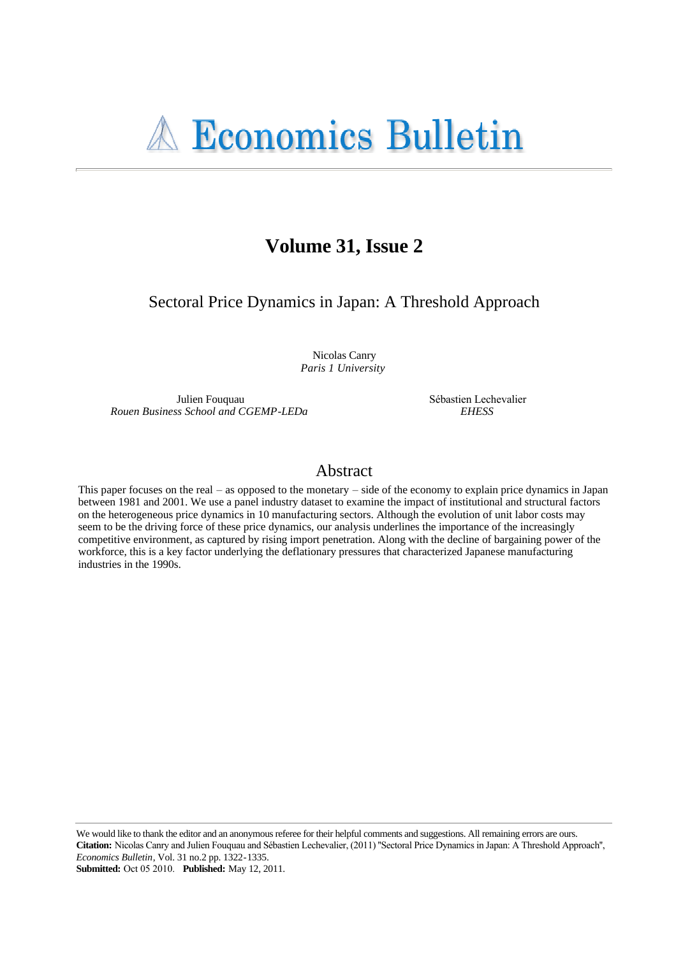# Volume 31, Issue 2

Sectoral Price Dynamics in Japan: A Threshold Approach

Nicolas Canry Paris 1 University

Julien Fouguau Rouen Business School and CGEMP-LEDa Sébastien Lechevalier **EHESS** 

# Abstract

This paper focuses on the real  $-$  as opposed to the monetary  $-$  side of the economy to explain price dynamics in Japan between 1981 and 2001. We use a panel industry dataset to examine the impact of institutional and structural factors on the heterogeneous price dynamics in 10 manufacturing sectors. Although the evolution of unit labor costs may seem to be the driving force of these price dynamics, our analysis underlines the importance of the increasingly competitive environment, as captured by rising import penetration. Along with the decline of bargaining power of the workforce, this is a key factor underlying the deflationary pressures that characterized Japanese manufacturing industries in the 1990s.

We would like to thank the editor and an anonymous referee for their helpful comments and suggestions. All remaining errors are ours. Citation: Nicolas Canry and Julien Fouquau and Sébastien Lechevalier, (2011) "Sectoral Price Dynamics in Japan: A Threshold Approach", Economics Bulletin, Vol. 31 no.2 pp. 1322-1335.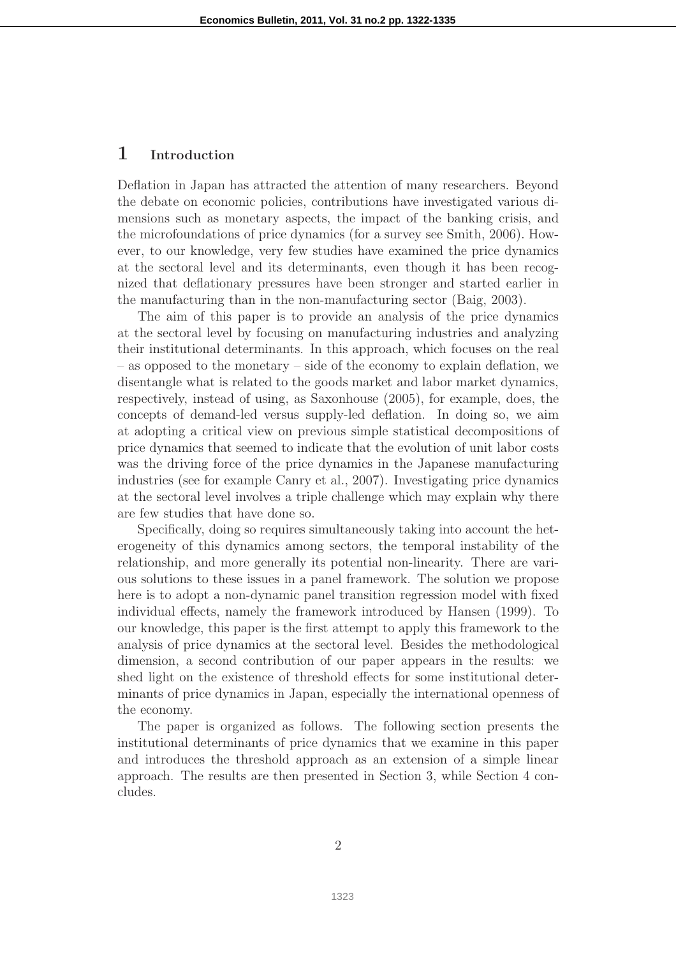# 1 Introduction

Deflation in Japan has attracted the attention of many researchers. Beyond the debate on economic policies, contributions have investigated various dimensions such as monetary aspects, the impact of the banking crisis, and the microfoundations of price dynamics (for a survey see Smith, 2006). However, to our knowledge, very few studies have examined the price dynamics at the sectoral level and its determinants, even though it has been recognized that deflationary pressures have been stronger and started earlier in the manufacturing than in the non-manufacturing sector (Baig, 2003).

The aim of this paper is to provide an analysis of the price dynamics at the sectoral level by focusing on manufacturing industries and analyzing their institutional determinants. In this approach, which focuses on the real – as opposed to the monetary – side of the economy to explain deflation, we disentangle what is related to the goods market and labor market dynamics, respectively, instead of using, as Saxonhouse (2005), for example, does, the concepts of demand-led versus supply-led deflation. In doing so, we aim at adopting a critical view on previous simple statistical decompositions of price dynamics that seemed to indicate that the evolution of unit labor costs was the driving force of the price dynamics in the Japanese manufacturing industries (see for example Canry et al., 2007). Investigating price dynamics at the sectoral level involves a triple challenge which may explain why there are few studies that have done so.

Specifically, doing so requires simultaneously taking into account the heterogeneity of this dynamics among sectors, the temporal instability of the relationship, and more generally its potential non-linearity. There are various solutions to these issues in a panel framework. The solution we propose here is to adopt a non-dynamic panel transition regression model with fixed individual effects, namely the framework introduced by Hansen (1999). To our knowledge, this paper is the first attempt to apply this framework to the analysis of price dynamics at the sectoral level. Besides the methodological dimension, a second contribution of our paper appears in the results: we shed light on the existence of threshold effects for some institutional determinants of price dynamics in Japan, especially the international openness of the economy.

The paper is organized as follows. The following section presents the institutional determinants of price dynamics that we examine in this paper and introduces the threshold approach as an extension of a simple linear approach. The results are then presented in Section 3, while Section 4 concludes.

2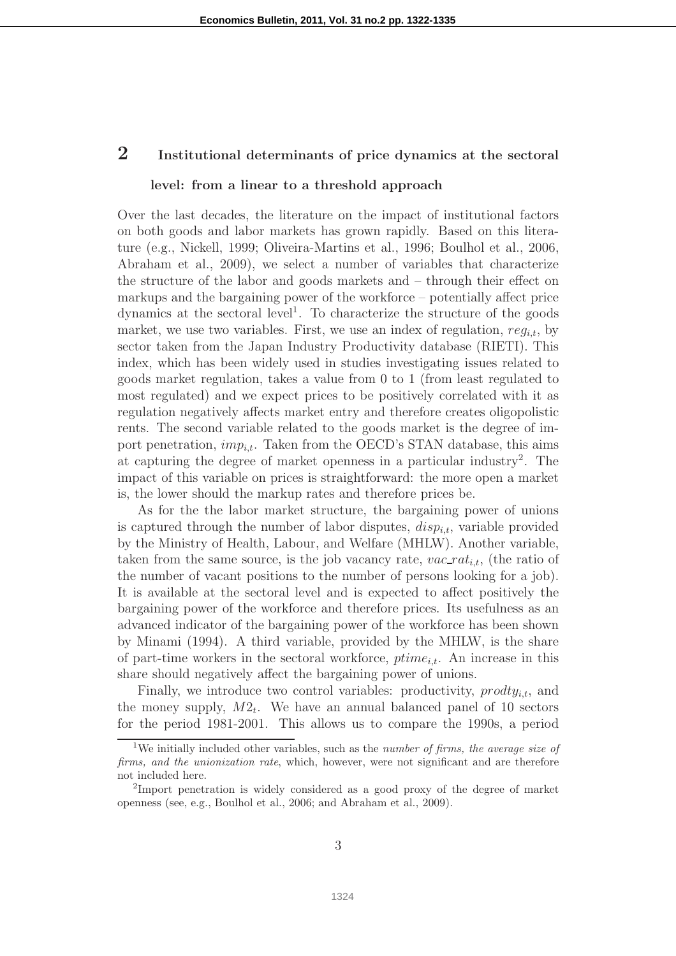# 2 Institutional determinants of price dynamics at the sectoral

#### level: from a linear to a threshold approach

Over the last decades, the literature on the impact of institutional factors on both goods and labor markets has grown rapidly. Based on this literature (e.g., Nickell, 1999; Oliveira-Martins et al., 1996; Boulhol et al., 2006, Abraham et al., 2009), we select a number of variables that characterize the structure of the labor and goods markets and – through their effect on markups and the bargaining power of the workforce – potentially affect price dynamics at the sectoral level<sup>1</sup>. To characterize the structure of the goods market, we use two variables. First, we use an index of regulation,  $reg_{i,t}$ , by sector taken from the Japan Industry Productivity database (RIETI). This index, which has been widely used in studies investigating issues related to goods market regulation, takes a value from 0 to 1 (from least regulated to most regulated) and we expect prices to be positively correlated with it as regulation negatively affects market entry and therefore creates oligopolistic rents. The second variable related to the goods market is the degree of import penetration,  $imp_{it}$ . Taken from the OECD's STAN database, this aims at capturing the degree of market openness in a particular industry<sup>2</sup> . The impact of this variable on prices is straightforward: the more open a market is, the lower should the markup rates and therefore prices be.

As for the the labor market structure, the bargaining power of unions is captured through the number of labor disputes,  $disp_{i,t}$ , variable provided by the Ministry of Health, Labour, and Welfare (MHLW). Another variable, taken from the same source, is the job vacancy rate,  $vac\_rat_{i,t}$ , (the ratio of the number of vacant positions to the number of persons looking for a job). It is available at the sectoral level and is expected to affect positively the bargaining power of the workforce and therefore prices. Its usefulness as an advanced indicator of the bargaining power of the workforce has been shown by Minami (1994). A third variable, provided by the MHLW, is the share of part-time workers in the sectoral workforce,  $\text{ptime}_{i,t}$ . An increase in this share should negatively affect the bargaining power of unions.

Finally, we introduce two control variables: productivity,  $\text{product}_{i,t}$ , and the money supply,  $M2_t$ . We have an annual balanced panel of 10 sectors for the period 1981-2001. This allows us to compare the 1990s, a period

<sup>&</sup>lt;sup>1</sup>We initially included other variables, such as the *number of firms, the average size of* firms, and the unionization rate, which, however, were not significant and are therefore not included here.

<sup>&</sup>lt;sup>2</sup>Import penetration is widely considered as a good proxy of the degree of market openness (see, e.g., Boulhol et al., 2006; and Abraham et al., 2009).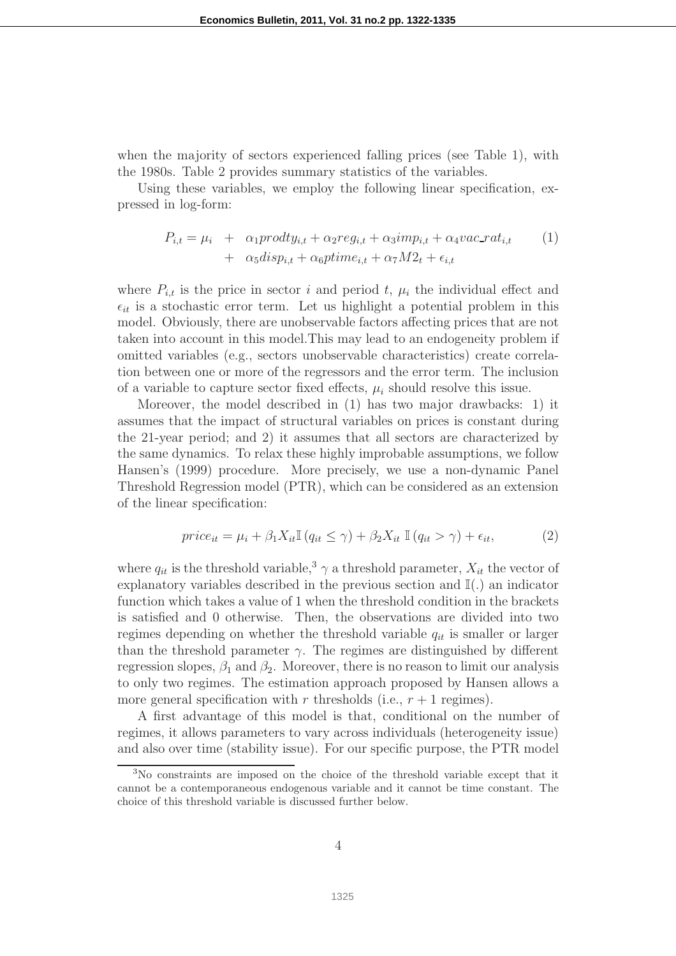when the majority of sectors experienced falling prices (see Table 1), with the 1980s. Table 2 provides summary statistics of the variables.

Using these variables, we employ the following linear specification, expressed in log-form:

$$
P_{i,t} = \mu_i + \alpha_1 \text{product}_{i,t} + \alpha_2 \text{reg}_{i,t} + \alpha_3 \text{imp}_{i,t} + \alpha_4 \text{vac\_rat}_{i,t} \tag{1}
$$

$$
+ \alpha_5 \text{disp}_{i,t} + \alpha_6 \text{ptime}_{i,t} + \alpha_7 \text{M2}_t + \epsilon_{i,t}
$$

where  $P_{i,t}$  is the price in sector i and period t,  $\mu_i$  the individual effect and  $\epsilon_{it}$  is a stochastic error term. Let us highlight a potential problem in this model. Obviously, there are unobservable factors affecting prices that are not taken into account in this model.This may lead to an endogeneity problem if omitted variables (e.g., sectors unobservable characteristics) create correlation between one or more of the regressors and the error term. The inclusion of a variable to capture sector fixed effects,  $\mu_i$  should resolve this issue.

Moreover, the model described in (1) has two major drawbacks: 1) it assumes that the impact of structural variables on prices is constant during the 21-year period; and 2) it assumes that all sectors are characterized by the same dynamics. To relax these highly improbable assumptions, we follow Hansen's (1999) procedure. More precisely, we use a non-dynamic Panel Threshold Regression model (PTR), which can be considered as an extension of the linear specification:

$$
price_{it} = \mu_i + \beta_1 X_{it} \mathbb{I}\left(q_{it} \le \gamma\right) + \beta_2 X_{it} \mathbb{I}\left(q_{it} > \gamma\right) + \epsilon_{it},\tag{2}
$$

where  $q_{it}$  is the threshold variable,<sup>3</sup>  $\gamma$  a threshold parameter,  $X_{it}$  the vector of explanatory variables described in the previous section and  $\mathbb{I}(\cdot)$  an indicator function which takes a value of 1 when the threshold condition in the brackets is satisfied and 0 otherwise. Then, the observations are divided into two regimes depending on whether the threshold variable  $q_{it}$  is smaller or larger than the threshold parameter  $\gamma$ . The regimes are distinguished by different regression slopes,  $\beta_1$  and  $\beta_2$ . Moreover, there is no reason to limit our analysis to only two regimes. The estimation approach proposed by Hansen allows a more general specification with r thresholds (i.e.,  $r + 1$  regimes).

A first advantage of this model is that, conditional on the number of regimes, it allows parameters to vary across individuals (heterogeneity issue) and also over time (stability issue). For our specific purpose, the PTR model

<sup>3</sup>No constraints are imposed on the choice of the threshold variable except that it cannot be a contemporaneous endogenous variable and it cannot be time constant. The choice of this threshold variable is discussed further below.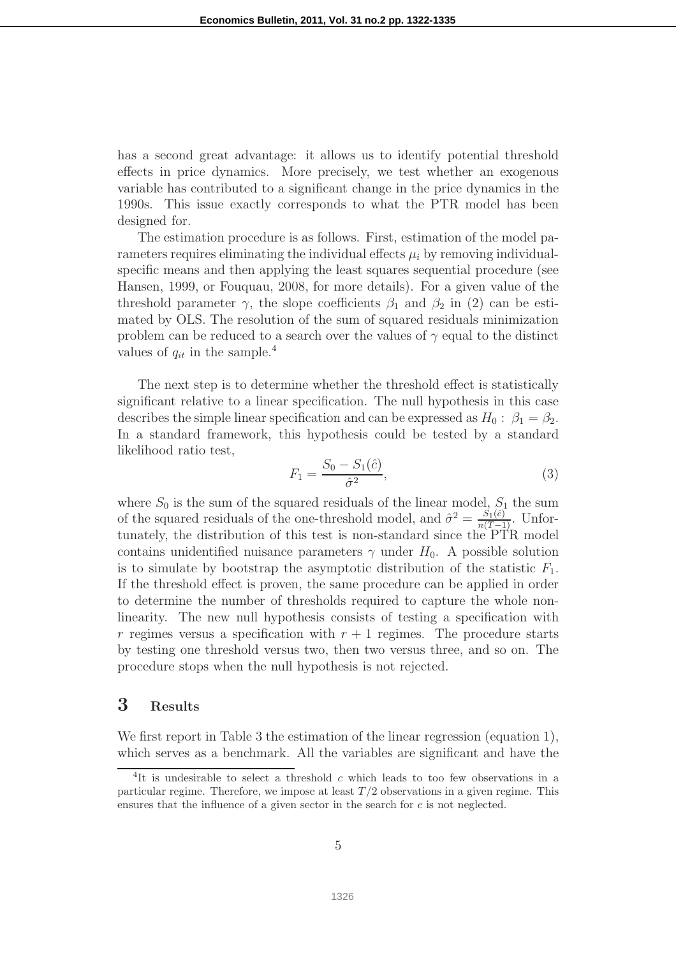has a second great advantage: it allows us to identify potential threshold effects in price dynamics. More precisely, we test whether an exogenous variable has contributed to a significant change in the price dynamics in the 1990s. This issue exactly corresponds to what the PTR model has been designed for.

The estimation procedure is as follows. First, estimation of the model parameters requires eliminating the individual effects  $\mu_i$  by removing individualspecific means and then applying the least squares sequential procedure (see Hansen, 1999, or Fouquau, 2008, for more details). For a given value of the threshold parameter  $\gamma$ , the slope coefficients  $\beta_1$  and  $\beta_2$  in (2) can be estimated by OLS. The resolution of the sum of squared residuals minimization problem can be reduced to a search over the values of  $\gamma$  equal to the distinct values of  $q_{it}$  in the sample.<sup>4</sup>

The next step is to determine whether the threshold effect is statistically significant relative to a linear specification. The null hypothesis in this case describes the simple linear specification and can be expressed as  $H_0: \beta_1 = \beta_2$ . In a standard framework, this hypothesis could be tested by a standard likelihood ratio test,

$$
F_1 = \frac{S_0 - S_1(\hat{c})}{\hat{\sigma}^2},\tag{3}
$$

where  $S_0$  is the sum of the squared residuals of the linear model,  $S_1$  the sum of the squared residuals of the one-threshold model, and  $\hat{\sigma}^2 = \frac{S_1(\hat{c})}{n(T-1)}$ . Unfortunately, the distribution of this test is non-standard since the PTR model contains unidentified nuisance parameters  $\gamma$  under  $H_0$ . A possible solution is to simulate by bootstrap the asymptotic distribution of the statistic  $F_1$ . If the threshold effect is proven, the same procedure can be applied in order to determine the number of thresholds required to capture the whole nonlinearity. The new null hypothesis consists of testing a specification with r regimes versus a specification with  $r + 1$  regimes. The procedure starts by testing one threshold versus two, then two versus three, and so on. The procedure stops when the null hypothesis is not rejected.

# 3 Results

We first report in Table 3 the estimation of the linear regression (equation 1), which serves as a benchmark. All the variables are significant and have the

<sup>&</sup>lt;sup>4</sup>It is undesirable to select a threshold c which leads to too few observations in a particular regime. Therefore, we impose at least  $T/2$  observations in a given regime. This ensures that the influence of a given sector in the search for c is not neglected.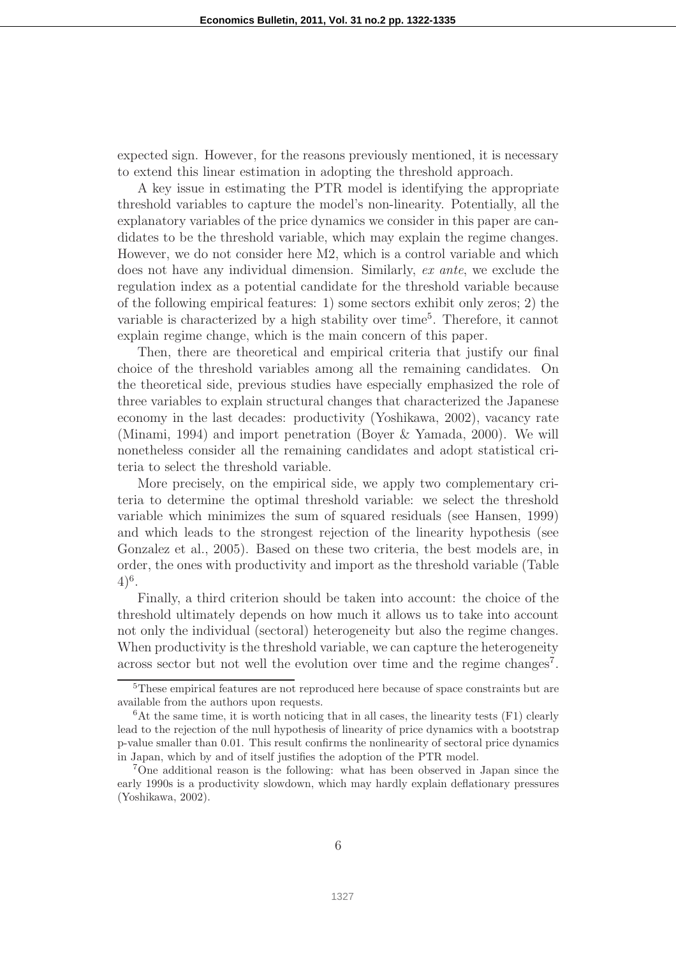expected sign. However, for the reasons previously mentioned, it is necessary to extend this linear estimation in adopting the threshold approach.

A key issue in estimating the PTR model is identifying the appropriate threshold variables to capture the model's non-linearity. Potentially, all the explanatory variables of the price dynamics we consider in this paper are candidates to be the threshold variable, which may explain the regime changes. However, we do not consider here M2, which is a control variable and which does not have any individual dimension. Similarly, ex ante, we exclude the regulation index as a potential candidate for the threshold variable because of the following empirical features: 1) some sectors exhibit only zeros; 2) the variable is characterized by a high stability over time<sup>5</sup>. Therefore, it cannot explain regime change, which is the main concern of this paper.

Then, there are theoretical and empirical criteria that justify our final choice of the threshold variables among all the remaining candidates. On the theoretical side, previous studies have especially emphasized the role of three variables to explain structural changes that characterized the Japanese economy in the last decades: productivity (Yoshikawa, 2002), vacancy rate (Minami, 1994) and import penetration (Boyer & Yamada, 2000). We will nonetheless consider all the remaining candidates and adopt statistical criteria to select the threshold variable.

More precisely, on the empirical side, we apply two complementary criteria to determine the optimal threshold variable: we select the threshold variable which minimizes the sum of squared residuals (see Hansen, 1999) and which leads to the strongest rejection of the linearity hypothesis (see Gonzalez et al., 2005). Based on these two criteria, the best models are, in order, the ones with productivity and import as the threshold variable (Table  $(4)^6$ .

Finally, a third criterion should be taken into account: the choice of the threshold ultimately depends on how much it allows us to take into account not only the individual (sectoral) heterogeneity but also the regime changes. When productivity is the threshold variable, we can capture the heterogeneity across sector but not well the evolution over time and the regime changes<sup>7</sup>.

<sup>5</sup>These empirical features are not reproduced here because of space constraints but are available from the authors upon requests.

 ${}^{6}$ At the same time, it is worth noticing that in all cases, the linearity tests (F1) clearly lead to the rejection of the null hypothesis of linearity of price dynamics with a bootstrap p-value smaller than 0.01. This result confirms the nonlinearity of sectoral price dynamics in Japan, which by and of itself justifies the adoption of the PTR model.

<sup>7</sup>One additional reason is the following: what has been observed in Japan since the early 1990s is a productivity slowdown, which may hardly explain deflationary pressures (Yoshikawa, 2002).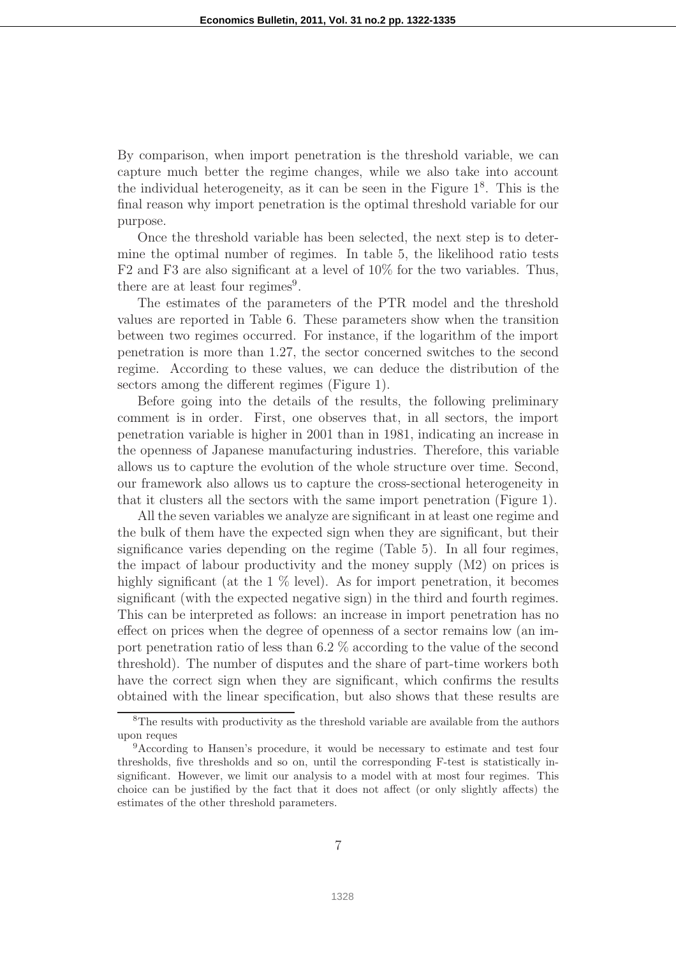By comparison, when import penetration is the threshold variable, we can capture much better the regime changes, while we also take into account the individual heterogeneity, as it can be seen in the Figure  $1<sup>8</sup>$ . This is the final reason why import penetration is the optimal threshold variable for our purpose.

Once the threshold variable has been selected, the next step is to determine the optimal number of regimes. In table 5, the likelihood ratio tests F2 and F3 are also significant at a level of 10% for the two variables. Thus, there are at least four regimes<sup>9</sup>.

The estimates of the parameters of the PTR model and the threshold values are reported in Table 6. These parameters show when the transition between two regimes occurred. For instance, if the logarithm of the import penetration is more than 1.27, the sector concerned switches to the second regime. According to these values, we can deduce the distribution of the sectors among the different regimes (Figure 1).

Before going into the details of the results, the following preliminary comment is in order. First, one observes that, in all sectors, the import penetration variable is higher in 2001 than in 1981, indicating an increase in the openness of Japanese manufacturing industries. Therefore, this variable allows us to capture the evolution of the whole structure over time. Second, our framework also allows us to capture the cross-sectional heterogeneity in that it clusters all the sectors with the same import penetration (Figure 1).

All the seven variables we analyze are significant in at least one regime and the bulk of them have the expected sign when they are significant, but their significance varies depending on the regime (Table 5). In all four regimes, the impact of labour productivity and the money supply (M2) on prices is highly significant (at the 1  $\%$  level). As for import penetration, it becomes significant (with the expected negative sign) in the third and fourth regimes. This can be interpreted as follows: an increase in import penetration has no effect on prices when the degree of openness of a sector remains low (an import penetration ratio of less than 6.2 % according to the value of the second threshold). The number of disputes and the share of part-time workers both have the correct sign when they are significant, which confirms the results obtained with the linear specification, but also shows that these results are

<sup>&</sup>lt;sup>8</sup>The results with productivity as the threshold variable are available from the authors upon reques

<sup>9</sup>According to Hansen's procedure, it would be necessary to estimate and test four thresholds, five thresholds and so on, until the corresponding F-test is statistically insignificant. However, we limit our analysis to a model with at most four regimes. This choice can be justified by the fact that it does not affect (or only slightly affects) the estimates of the other threshold parameters.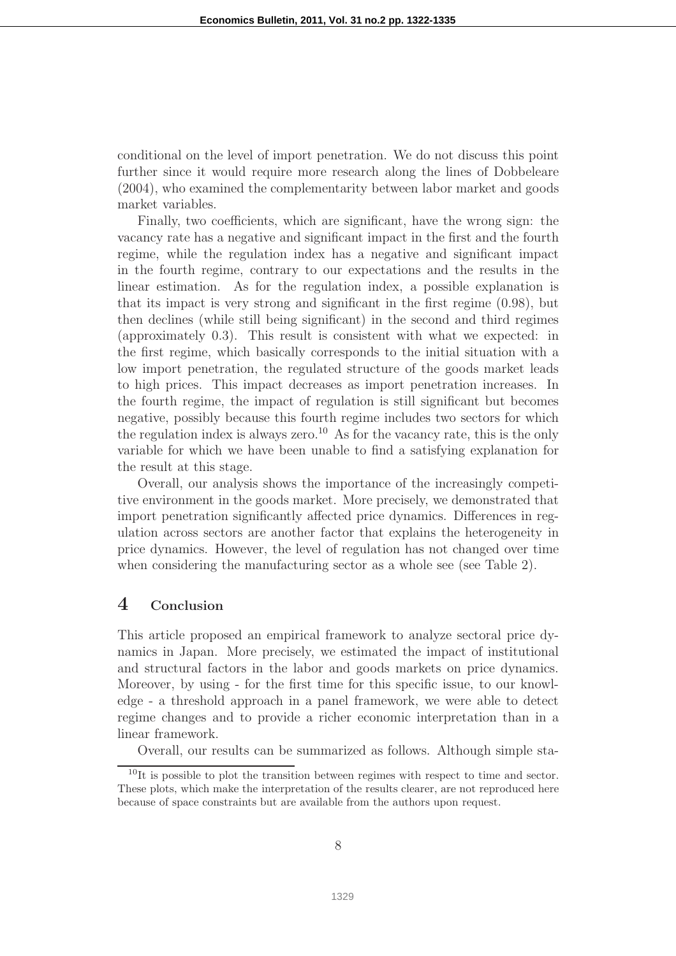conditional on the level of import penetration. We do not discuss this point further since it would require more research along the lines of Dobbeleare (2004), who examined the complementarity between labor market and goods market variables.

Finally, two coefficients, which are significant, have the wrong sign: the vacancy rate has a negative and significant impact in the first and the fourth regime, while the regulation index has a negative and significant impact in the fourth regime, contrary to our expectations and the results in the linear estimation. As for the regulation index, a possible explanation is that its impact is very strong and significant in the first regime (0.98), but then declines (while still being significant) in the second and third regimes (approximately 0.3). This result is consistent with what we expected: in the first regime, which basically corresponds to the initial situation with a low import penetration, the regulated structure of the goods market leads to high prices. This impact decreases as import penetration increases. In the fourth regime, the impact of regulation is still significant but becomes negative, possibly because this fourth regime includes two sectors for which the regulation index is always zero.<sup>10</sup> As for the vacancy rate, this is the only variable for which we have been unable to find a satisfying explanation for the result at this stage.

Overall, our analysis shows the importance of the increasingly competitive environment in the goods market. More precisely, we demonstrated that import penetration significantly affected price dynamics. Differences in regulation across sectors are another factor that explains the heterogeneity in price dynamics. However, the level of regulation has not changed over time when considering the manufacturing sector as a whole see (see Table 2).

# 4 Conclusion

This article proposed an empirical framework to analyze sectoral price dynamics in Japan. More precisely, we estimated the impact of institutional and structural factors in the labor and goods markets on price dynamics. Moreover, by using - for the first time for this specific issue, to our knowledge - a threshold approach in a panel framework, we were able to detect regime changes and to provide a richer economic interpretation than in a linear framework.

Overall, our results can be summarized as follows. Although simple sta-

 $10$ It is possible to plot the transition between regimes with respect to time and sector. These plots, which make the interpretation of the results clearer, are not reproduced here because of space constraints but are available from the authors upon request.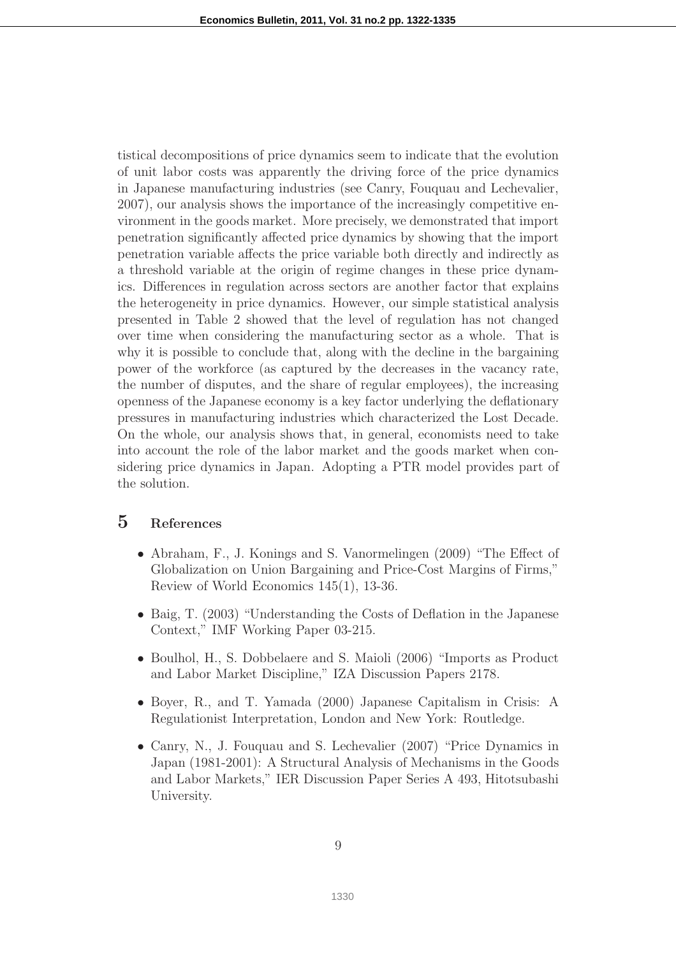tistical decompositions of price dynamics seem to indicate that the evolution of unit labor costs was apparently the driving force of the price dynamics in Japanese manufacturing industries (see Canry, Fouquau and Lechevalier, 2007), our analysis shows the importance of the increasingly competitive environment in the goods market. More precisely, we demonstrated that import penetration significantly affected price dynamics by showing that the import penetration variable affects the price variable both directly and indirectly as a threshold variable at the origin of regime changes in these price dynamics. Differences in regulation across sectors are another factor that explains the heterogeneity in price dynamics. However, our simple statistical analysis presented in Table 2 showed that the level of regulation has not changed over time when considering the manufacturing sector as a whole. That is why it is possible to conclude that, along with the decline in the bargaining power of the workforce (as captured by the decreases in the vacancy rate, the number of disputes, and the share of regular employees), the increasing openness of the Japanese economy is a key factor underlying the deflationary pressures in manufacturing industries which characterized the Lost Decade. On the whole, our analysis shows that, in general, economists need to take into account the role of the labor market and the goods market when considering price dynamics in Japan. Adopting a PTR model provides part of the solution.

## 5 References

- Abraham, F., J. Konings and S. Vanormelingen (2009) "The Effect of Globalization on Union Bargaining and Price-Cost Margins of Firms," Review of World Economics 145(1), 13-36.
- Baig, T. (2003) "Understanding the Costs of Deflation in the Japanese Context," IMF Working Paper 03-215.
- Boulhol, H., S. Dobbelaere and S. Maioli (2006) "Imports as Product and Labor Market Discipline," IZA Discussion Papers 2178.
- Boyer, R., and T. Yamada (2000) Japanese Capitalism in Crisis: A Regulationist Interpretation, London and New York: Routledge.
- Canry, N., J. Fouquau and S. Lechevalier (2007) "Price Dynamics in Japan (1981-2001): A Structural Analysis of Mechanisms in the Goods and Labor Markets," IER Discussion Paper Series A 493, Hitotsubashi University.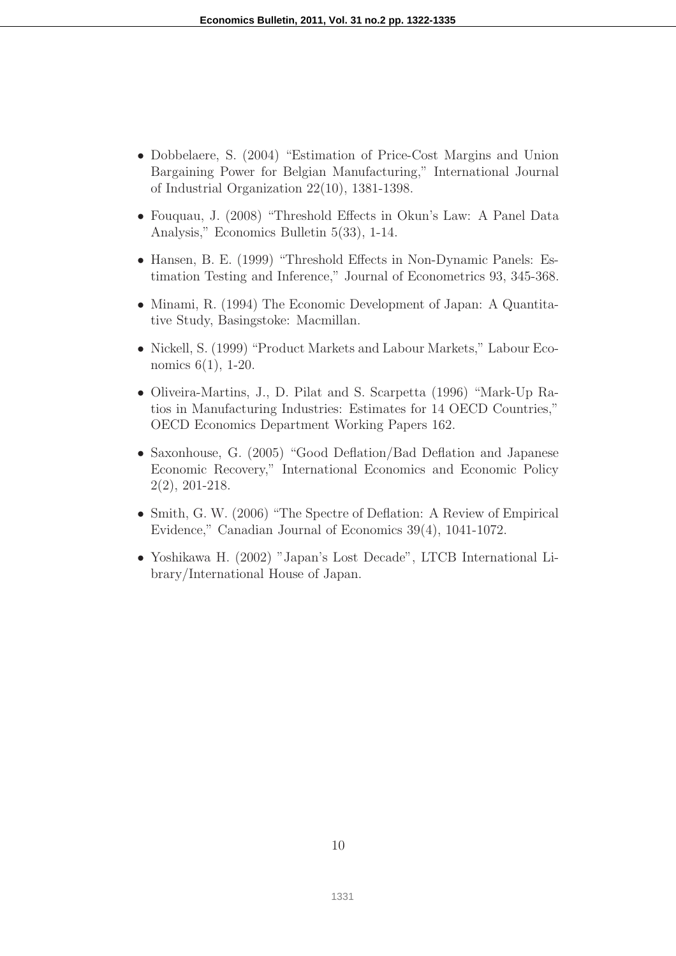- Dobbelaere, S. (2004) "Estimation of Price-Cost Margins and Union Bargaining Power for Belgian Manufacturing," International Journal of Industrial Organization 22(10), 1381-1398.
- Fouquau, J. (2008) "Threshold Effects in Okun's Law: A Panel Data Analysis," Economics Bulletin 5(33), 1-14.
- Hansen, B. E. (1999) "Threshold Effects in Non-Dynamic Panels: Estimation Testing and Inference," Journal of Econometrics 93, 345-368.
- Minami, R. (1994) The Economic Development of Japan: A Quantitative Study, Basingstoke: Macmillan.
- Nickell, S. (1999) "Product Markets and Labour Markets," Labour Economics 6(1), 1-20.
- Oliveira-Martins, J., D. Pilat and S. Scarpetta (1996) "Mark-Up Ratios in Manufacturing Industries: Estimates for 14 OECD Countries," OECD Economics Department Working Papers 162.
- Saxonhouse, G. (2005) "Good Deflation/Bad Deflation and Japanese Economic Recovery," International Economics and Economic Policy 2(2), 201-218.
- Smith, G. W. (2006) "The Spectre of Deflation: A Review of Empirical Evidence," Canadian Journal of Economics 39(4), 1041-1072.
- Yoshikawa H. (2002) "Japan's Lost Decade", LTCB International Library/International House of Japan.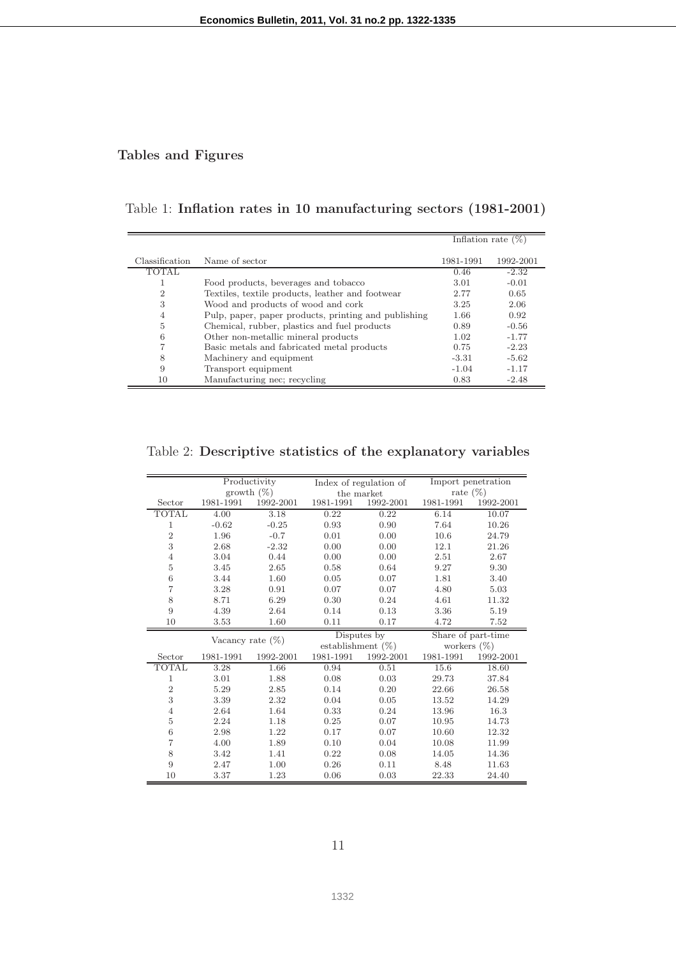## Tables and Figures

## Table 1: Inflation rates in 10 manufacturing sectors (1981-2001)

|                |                                                      | Inflation rate $(\%)$ |           |
|----------------|------------------------------------------------------|-----------------------|-----------|
|                |                                                      |                       |           |
| Classification | Name of sector                                       | 1981-1991             | 1992-2001 |
| <b>TOTAL</b>   |                                                      | 0.46                  | $-2.32$   |
|                | Food products, beverages and tobacco                 | 3.01                  | $-0.01$   |
| $\overline{2}$ | Textiles, textile products, leather and footwear     | 2.77                  | 0.65      |
| 3              | Wood and products of wood and cork                   | 3.25                  | 2.06      |
| 4              | Pulp, paper, paper products, printing and publishing | 1.66                  | 0.92      |
| 5              | Chemical, rubber, plastics and fuel products         | 0.89                  | $-0.56$   |
| 6              | Other non-metallic mineral products                  | 1.02                  | $-1.77$   |
|                | Basic metals and fabricated metal products           | 0.75                  | $-2.23$   |
| 8              | Machinery and equipment                              | $-3.31$               | $-5.62$   |
| 9              | Transport equipment                                  | $-1.04$               | $-1.17$   |
| 10             | Manufacturing nec; recycling                         | 0.83                  | $-2.48$   |

## Table 2: Descriptive statistics of the explanatory variables

|                | Productivity        |               | Index of regulation of |             | Import penetration |                    |
|----------------|---------------------|---------------|------------------------|-------------|--------------------|--------------------|
|                |                     | growth $(\%)$ | the market             |             | rate $(\%)$        |                    |
| Sector         | 1981-1991           | 1992-2001     | 1981-1991              | 1992-2001   | 1981-1991          | 1992-2001          |
| <b>TOTAL</b>   | 4.00                | 3.18          | 0.22                   | 0.22        | 6.14               | 10.07              |
| $\mathbf{1}$   | $-0.62$             | $-0.25$       | 0.93                   | 0.90        | 7.64               | 10.26              |
| $\overline{2}$ | 1.96                | $-0.7$        | 0.01                   | 0.00        | 10.6               | 24.79              |
| 3              | 2.68                | $-2.32$       | 0.00                   | 0.00        | 12.1               | 21.26              |
| $\overline{4}$ | 3.04                | 0.44          | 0.00                   | 0.00        | 2.51               | 2.67               |
| 5              | 3.45                | 2.65          | 0.58                   | 0.64        | 9.27               | 9.30               |
| 6              | 3.44                | 1.60          | 0.05                   | 0.07        | 1.81               | 3.40               |
| $\overline{7}$ | 3.28                | 0.91          | 0.07                   | 0.07        | 4.80               | 5.03               |
| 8              | 8.71                | 6.29          | 0.30                   | 0.24        | 4.61               | 11.32              |
| 9              | 4.39                | 2.64          | 0.14                   | 0.13        | 3.36               | 5.19               |
| 10             | 3.53                | 1.60          | 0.11                   | 0.17        | 4.72               | 7.52               |
|                |                     |               |                        |             |                    |                    |
|                |                     |               |                        | Disputes by |                    | Share of part-time |
|                | Vacancy rate $(\%)$ |               | establishment $(\%)$   |             | workers $(\%)$     |                    |
| Sector         | 1981-1991           | 1992-2001     | 1981-1991              | 1992-2001   | 1981-1991          | 1992-2001          |
| TOTAL          | 3.28                | 1.66          | 0.94                   | 0.51        | 15.6               | 18.60              |
| 1              | 3.01                | 1.88          | 0.08                   | 0.03        | 29.73              | 37.84              |
| $\overline{2}$ | 5.29                | 2.85          | 0.14                   | 0.20        | 22.66              | 26.58              |
| 3              | 3.39                | 2.32          | 0.04                   | 0.05        | 13.52              | 14.29              |
| $\overline{4}$ | 2.64                | 1.64          | 0.33                   | 0.24        | 13.96              | 16.3               |
| 5              | 2.24                | 1.18          | 0.25                   | 0.07        | 10.95              | 14.73              |
| 6              | 2.98                | 1.22          | 0.17                   | 0.07        | 10.60              | 12.32              |
| $\overline{7}$ | 4.00                | 1.89          | 0.10                   | 0.04        | 10.08              | 11.99              |
| 8              | 3.42                | 1.41          | 0.22                   | 0.08        | 14.05              | 14.36              |
| 9              | 2.47                | 1.00          | 0.26                   | 0.11        | 8.48               | 11.63              |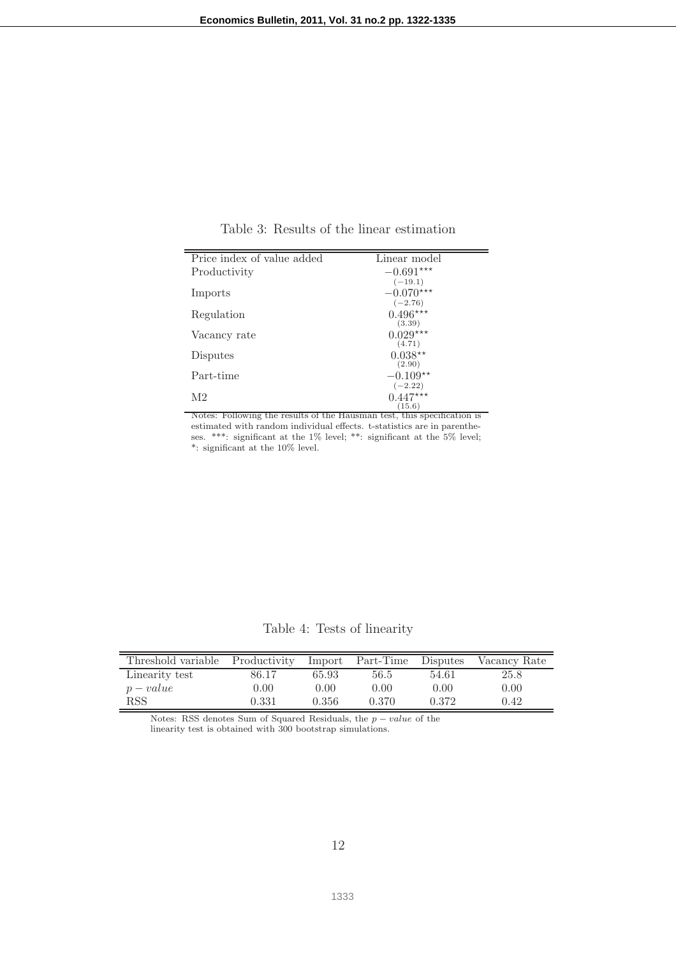| Price index of value added | Linear model |
|----------------------------|--------------|
| Productivity               | $-0.691***$  |
|                            | $(-19.1)$    |
| Imports                    | $-0.070***$  |
|                            | $(-2.76)$    |
| Regulation                 | $0.496***$   |
|                            | (3.39)       |
| Vacancy rate               | $0.029***$   |
|                            | (4.71)       |
| Disputes                   | $0.038**$    |
|                            | (2.90)       |
| Part-time                  | $-0.109**$   |
|                            | $(-2.22)$    |
| M2                         | $0.447***$   |
|                            | (15.6)       |

Table 3: Results of the linear estimation

Notes: Following the results of the Hausman test, this specification is estimated with random individual effects. t-statistics are in parentheses. \*\*\*: significant at the 1% level; \*\*: significant at the 5% level; \*: significant at the 10% level.

Table 4: Tests of linearity

| Threshold variable Productivity Import Part-Time Disputes |       |       |       |       | Vacancy Rate |
|-----------------------------------------------------------|-------|-------|-------|-------|--------------|
| Linearity test                                            | 86.17 | 65.93 | 56.5  | 54.61 | 25.8         |
| $p-value$                                                 | 0.00  | 0.00  | 0.00  | 0.00  | 0.00         |
| RSS                                                       | 0.331 | 0.356 | 0.370 | 0.372 | 0.42         |

Notes: RSS denotes Sum of Squared Residuals, the  $p-value$  of the linearity test is obtained with 300 bootstrap simulations.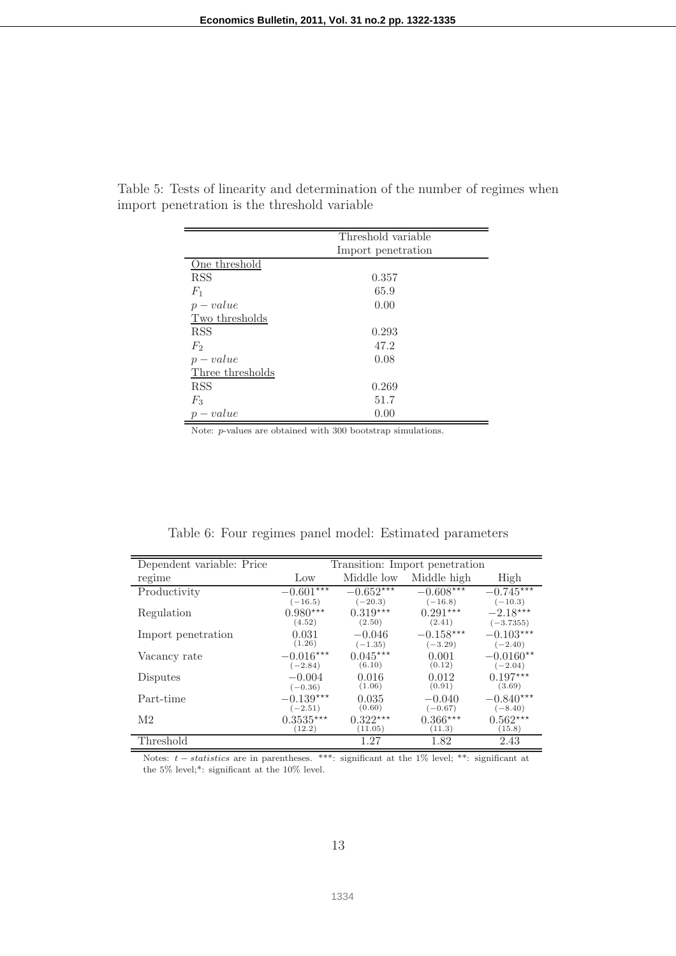|                  | Threshold variable |  |
|------------------|--------------------|--|
|                  | Import penetration |  |
| One threshold    |                    |  |
| <b>RSS</b>       | 0.357              |  |
| $F_1$            | 65.9               |  |
| $p-value$        | 0.00               |  |
| Two thresholds   |                    |  |
| <b>RSS</b>       | 0.293              |  |
| F <sub>2</sub>   | 47.2               |  |
| $p-value$        | 0.08               |  |
| Three thresholds |                    |  |
| <b>RSS</b>       | 0.269              |  |
| $F_3$            | 51.7               |  |
| $p-value$        | 0.00               |  |

Table 5: Tests of linearity and determination of the number of regimes when import penetration is the threshold variable

Note: p-values are obtained with 300 bootstrap simulations.

| Dependent variable: Price | Transition: Import penetration |             |             |             |  |
|---------------------------|--------------------------------|-------------|-------------|-------------|--|
| regime                    | $_{\text{Low}}$                | Middle low  | Middle high | High        |  |
| Productivity              | $-0.601***$                    | $-0.652***$ | $-0.608***$ | $-0.745***$ |  |
| Regulation                | $(-16.5)$                      | $(-20.3)$   | $(-16.8)$   | $(-10.3)$   |  |
|                           | $0.980***$                     | $0.319***$  | $0.291***$  | $-2.18***$  |  |
|                           | (4.52)                         | (2.50)      | (2.41)      | $(-3.7355)$ |  |
| Import penetration        | 0.031                          | $-0.046$    | $-0.158***$ | $-0.103***$ |  |
|                           | (1.26)                         | $(-1.35)$   | $(-3.29)$   | $(-2.40)$   |  |
| Vacancy rate              | $-0.016***$                    | $0.045***$  | 0.001       | $-0.0160**$ |  |
|                           | $(-2.84)$                      | (6.10)      | (0.12)      | $(-2.04)$   |  |
| Disputes                  | $-0.004$                       | 0.016       | 0.012       | $0.197***$  |  |
|                           | $(-0.36)$                      | (1.06)      | (0.91)      | (3.69)      |  |
| Part-time                 | $-0.139***$                    | 0.035       | $-0.040$    | $-0.840***$ |  |
|                           | $(-2.51)$                      | (0.60)      | $(-0.67)$   | $(-8.40)$   |  |
| M <sub>2</sub>            | $0.3535***$                    | $0.322***$  | $0.366***$  | $0.562***$  |  |
|                           | (12.2)                         | (11.05)     | (11.3)      | (15.8)      |  |
| Threshold                 |                                | 1.27        | 1.82        | 2.43        |  |

Table 6: Four regimes panel model: Estimated parameters

Notes:  $t - statistics$  are in parentheses. \*\*\*: significant at the 1% level; \*\*: significant at the 5% level;\*: significant at the 10% level.